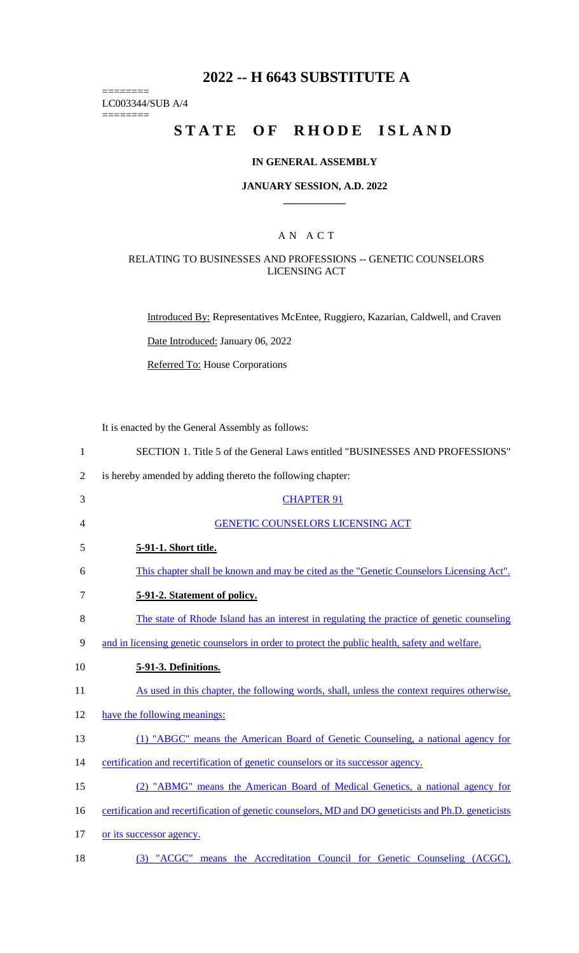## **2022 -- H 6643 SUBSTITUTE A**

LC003344/SUB A/4

========

========

# **STATE OF RHODE ISLAND**

### **IN GENERAL ASSEMBLY**

#### **JANUARY SESSION, A.D. 2022 \_\_\_\_\_\_\_\_\_\_\_\_**

## A N A C T

## RELATING TO BUSINESSES AND PROFESSIONS -- GENETIC COUNSELORS LICENSING ACT

Introduced By: Representatives McEntee, Ruggiero, Kazarian, Caldwell, and Craven

Date Introduced: January 06, 2022

Referred To: House Corporations

It is enacted by the General Assembly as follows:

| $\mathbf{1}$   | SECTION 1. Title 5 of the General Laws entitled "BUSINESSES AND PROFESSIONS"                         |
|----------------|------------------------------------------------------------------------------------------------------|
| $\overline{2}$ | is hereby amended by adding thereto the following chapter:                                           |
| 3              | <b>CHAPTER 91</b>                                                                                    |
| 4              | <b>GENETIC COUNSELORS LICENSING ACT</b>                                                              |
| 5              | 5-91-1. Short title.                                                                                 |
| 6              | This chapter shall be known and may be cited as the "Genetic Counselors Licensing Act".              |
| $\tau$         | 5-91-2. Statement of policy.                                                                         |
| 8              | The state of Rhode Island has an interest in regulating the practice of genetic counseling           |
| 9              | and in licensing genetic counselors in order to protect the public health, safety and welfare.       |
| 10             | 5-91-3. Definitions.                                                                                 |
| 11             | As used in this chapter, the following words, shall, unless the context requires otherwise,          |
| 12             | have the following meanings:                                                                         |
| 13             | (1) "ABGC" means the American Board of Genetic Counseling, a national agency for                     |
| 14             | certification and recertification of genetic counselors or its successor agency.                     |
| 15             | (2) "ABMG" means the American Board of Medical Genetics, a national agency for                       |
| 16             | certification and recertification of genetic counselors, MD and DO geneticists and Ph.D. geneticists |
| 17             | or its successor agency.                                                                             |
| 18             | (3) "ACGC" means the Accreditation Council for Genetic Counseling (ACGC),                            |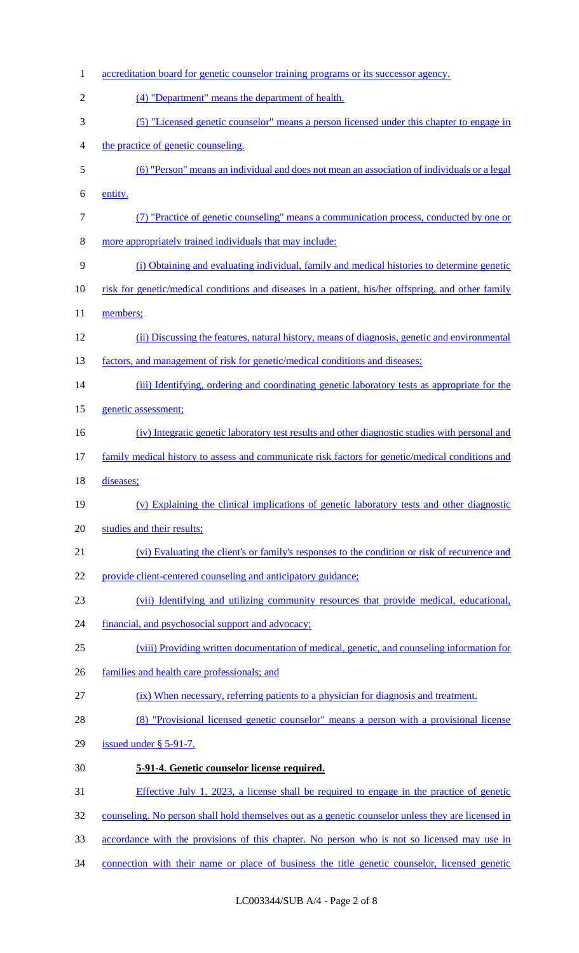| $\mathbf{1}$   | accreditation board for genetic counselor training programs or its successor agency.               |
|----------------|----------------------------------------------------------------------------------------------------|
| $\overline{2}$ | (4) "Department" means the department of health.                                                   |
| 3              | (5) "Licensed genetic counselor" means a person licensed under this chapter to engage in           |
| 4              | the practice of genetic counseling.                                                                |
| 5              | (6) "Person" means an individual and does not mean an association of individuals or a legal        |
| 6              | entity.                                                                                            |
| $\tau$         | (7) "Practice of genetic counseling" means a communication process, conducted by one or            |
| 8              | more appropriately trained individuals that may include:                                           |
| 9              | (i) Obtaining and evaluating individual, family and medical histories to determine genetic         |
| 10             | risk for genetic/medical conditions and diseases in a patient, his/her offspring, and other family |
| 11             | members;                                                                                           |
| 12             | (ii) Discussing the features, natural history, means of diagnosis, genetic and environmental       |
| 13             | factors, and management of risk for genetic/medical conditions and diseases;                       |
| 14             | (iii) Identifying, ordering and coordinating genetic laboratory tests as appropriate for the       |
| 15             | genetic assessment;                                                                                |
| 16             | (iv) Integratic genetic laboratory test results and other diagnostic studies with personal and     |
| 17             | family medical history to assess and communicate risk factors for genetic/medical conditions and   |
| 18             | diseases;                                                                                          |
| 19             | (v) Explaining the clinical implications of genetic laboratory tests and other diagnostic          |
| 20             | studies and their results;                                                                         |
| 21             | (vi) Evaluating the client's or family's responses to the condition or risk of recurrence and      |
| 22             | provide client-centered counseling and anticipatory guidance;                                      |
| 23             | (vii) Identifying and utilizing community resources that provide medical, educational,             |
| 24             | financial, and psychosocial support and advocacy;                                                  |
| 25             | (viii) Providing written documentation of medical, genetic, and counseling information for         |
| 26             | families and health care professionals; and                                                        |
| 27             | (ix) When necessary, referring patients to a physician for diagnosis and treatment.                |
| 28             | (8) "Provisional licensed genetic counselor" means a person with a provisional license             |
| 29             | issued under $\S$ 5-91-7.                                                                          |
| 30             | 5-91-4. Genetic counselor license required.                                                        |
| 31             | Effective July 1, 2023, a license shall be required to engage in the practice of genetic           |
| 32             | counseling. No person shall hold themselves out as a genetic counselor unless they are licensed in |
| 33             | accordance with the provisions of this chapter. No person who is not so licensed may use in        |
| 34             | connection with their name or place of business the title genetic counselor, licensed genetic      |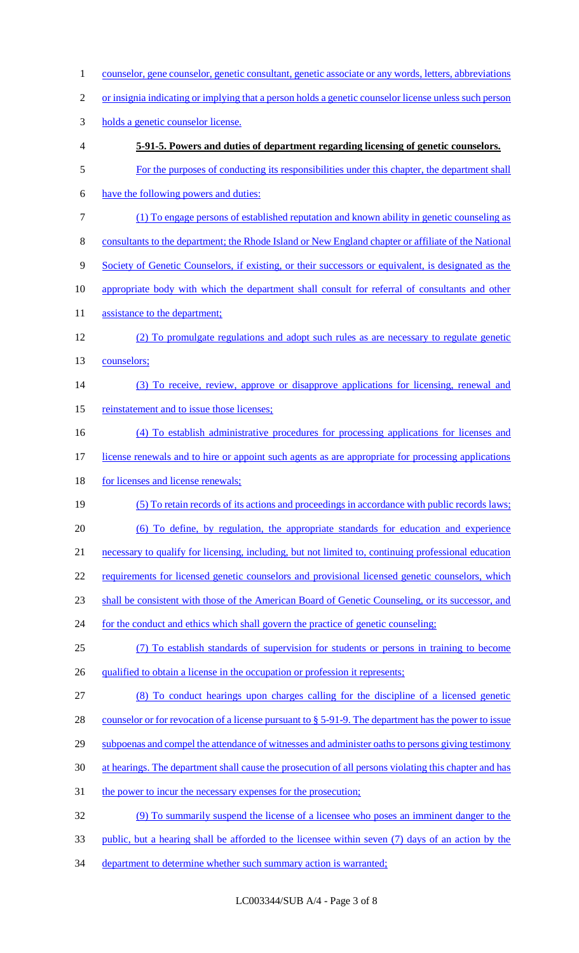1 counselor, gene counselor, genetic consultant, genetic associate or any words, letters, abbreviations or insignia indicating or implying that a person holds a genetic counselor license unless such person holds a genetic counselor license. **5-91-5. Powers and duties of department regarding licensing of genetic counselors.** For the purposes of conducting its responsibilities under this chapter, the department shall have the following powers and duties: (1) To engage persons of established reputation and known ability in genetic counseling as consultants to the department; the Rhode Island or New England chapter or affiliate of the National 9 Society of Genetic Counselors, if existing, or their successors or equivalent, is designated as the appropriate body with which the department shall consult for referral of consultants and other 11 assistance to the department; (2) To promulgate regulations and adopt such rules as are necessary to regulate genetic counselors; (3) To receive, review, approve or disapprove applications for licensing, renewal and 15 reinstatement and to issue those licenses; (4) To establish administrative procedures for processing applications for licenses and license renewals and to hire or appoint such agents as are appropriate for processing applications 18 for licenses and license renewals; (5) To retain records of its actions and proceedings in accordance with public records laws; (6) To define, by regulation, the appropriate standards for education and experience necessary to qualify for licensing, including, but not limited to, continuing professional education 22 requirements for licensed genetic counselors and provisional licensed genetic counselors, which shall be consistent with those of the American Board of Genetic Counseling, or its successor, and 24 for the conduct and ethics which shall govern the practice of genetic counseling; (7) To establish standards of supervision for students or persons in training to become 26 qualified to obtain a license in the occupation or profession it represents; (8) To conduct hearings upon charges calling for the discipline of a licensed genetic 28 counselor or for revocation of a license pursuant to § 5-91-9. The department has the power to issue 29 subpoenas and compel the attendance of witnesses and administer oaths to persons giving testimony at hearings. The department shall cause the prosecution of all persons violating this chapter and has 31 the power to incur the necessary expenses for the prosecution; (9) To summarily suspend the license of a licensee who poses an imminent danger to the public, but a hearing shall be afforded to the licensee within seven (7) days of an action by the 34 department to determine whether such summary action is warranted;

LC003344/SUB A/4 - Page 3 of 8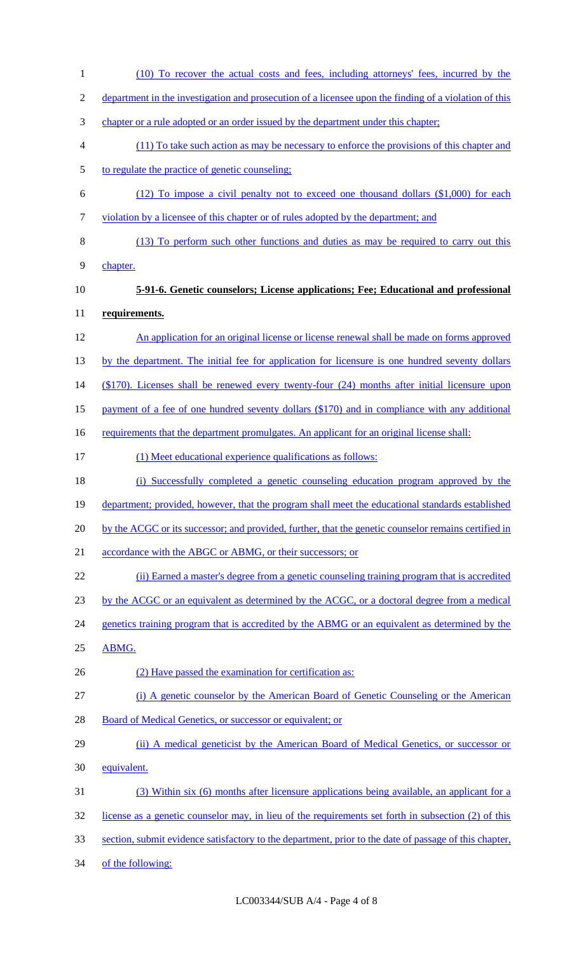(10) To recover the actual costs and fees, including attorneys' fees, incurred by the department in the investigation and prosecution of a licensee upon the finding of a violation of this chapter or a rule adopted or an order issued by the department under this chapter; (11) To take such action as may be necessary to enforce the provisions of this chapter and to regulate the practice of genetic counseling; (12) To impose a civil penalty not to exceed one thousand dollars (\$1,000) for each violation by a licensee of this chapter or of rules adopted by the department; and (13) To perform such other functions and duties as may be required to carry out this chapter. **5-91-6. Genetic counselors; License applications; Fee; Educational and professional requirements.** An application for an original license or license renewal shall be made on forms approved 13 by the department. The initial fee for application for licensure is one hundred seventy dollars (\$170). Licenses shall be renewed every twenty-four (24) months after initial licensure upon payment of a fee of one hundred seventy dollars (\$170) and in compliance with any additional 16 requirements that the department promulgates. An applicant for an original license shall: (1) Meet educational experience qualifications as follows: (i) Successfully completed a genetic counseling education program approved by the 19 department; provided, however, that the program shall meet the educational standards established 20 by the ACGC or its successor; and provided, further, that the genetic counselor remains certified in 21 accordance with the ABGC or ABMG, or their successors; or (ii) Earned a master's degree from a genetic counseling training program that is accredited by the ACGC or an equivalent as determined by the ACGC, or a doctoral degree from a medical 24 genetics training program that is accredited by the ABMG or an equivalent as determined by the ABMG. 26 (2) Have passed the examination for certification as: (i) A genetic counselor by the American Board of Genetic Counseling or the American 28 Board of Medical Genetics, or successor or equivalent; or (ii) A medical geneticist by the American Board of Medical Genetics, or successor or equivalent. (3) Within six (6) months after licensure applications being available, an applicant for a license as a genetic counselor may, in lieu of the requirements set forth in subsection (2) of this 33 section, submit evidence satisfactory to the department, prior to the date of passage of this chapter, of the following: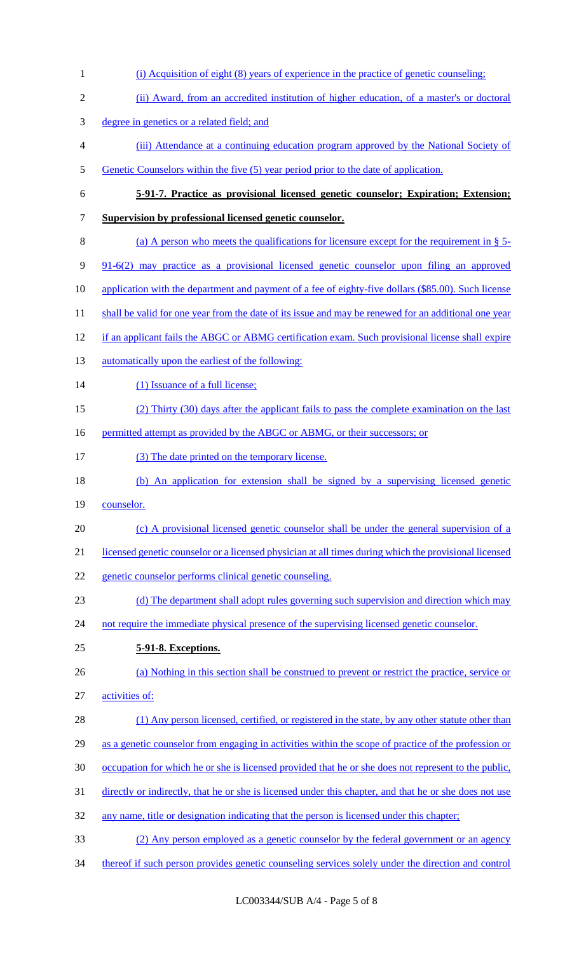(i) Acquisition of eight (8) years of experience in the practice of genetic counseling; (ii) Award, from an accredited institution of higher education, of a master's or doctoral degree in genetics or a related field; and (iii) Attendance at a continuing education program approved by the National Society of 5 Genetic Counselors within the five (5) year period prior to the date of application. **5-91-7. Practice as provisional licensed genetic counselor; Expiration; Extension; Supervision by professional licensed genetic counselor.** (a) A person who meets the qualifications for licensure except for the requirement in § 5- 91-6(2) may practice as a provisional licensed genetic counselor upon filing an approved 10 application with the department and payment of a fee of eighty-five dollars (\$85.00). Such license 11 shall be valid for one year from the date of its issue and may be renewed for an additional one year if an applicant fails the ABGC or ABMG certification exam. Such provisional license shall expire 13 automatically upon the earliest of the following: 14 (1) Issuance of a full license; (2) Thirty (30) days after the applicant fails to pass the complete examination on the last 16 permitted attempt as provided by the ABGC or ABMG, or their successors; or (3) The date printed on the temporary license. (b) An application for extension shall be signed by a supervising licensed genetic 19 counselor. (c) A provisional licensed genetic counselor shall be under the general supervision of a licensed genetic counselor or a licensed physician at all times during which the provisional licensed genetic counselor performs clinical genetic counseling. 23 (d) The department shall adopt rules governing such supervision and direction which may 24 not require the immediate physical presence of the supervising licensed genetic counselor. **5-91-8. Exceptions.** (a) Nothing in this section shall be construed to prevent or restrict the practice, service or activities of: (1) Any person licensed, certified, or registered in the state, by any other statute other than as a genetic counselor from engaging in activities within the scope of practice of the profession or occupation for which he or she is licensed provided that he or she does not represent to the public, directly or indirectly, that he or she is licensed under this chapter, and that he or she does not use 32 any name, title or designation indicating that the person is licensed under this chapter; (2) Any person employed as a genetic counselor by the federal government or an agency thereof if such person provides genetic counseling services solely under the direction and control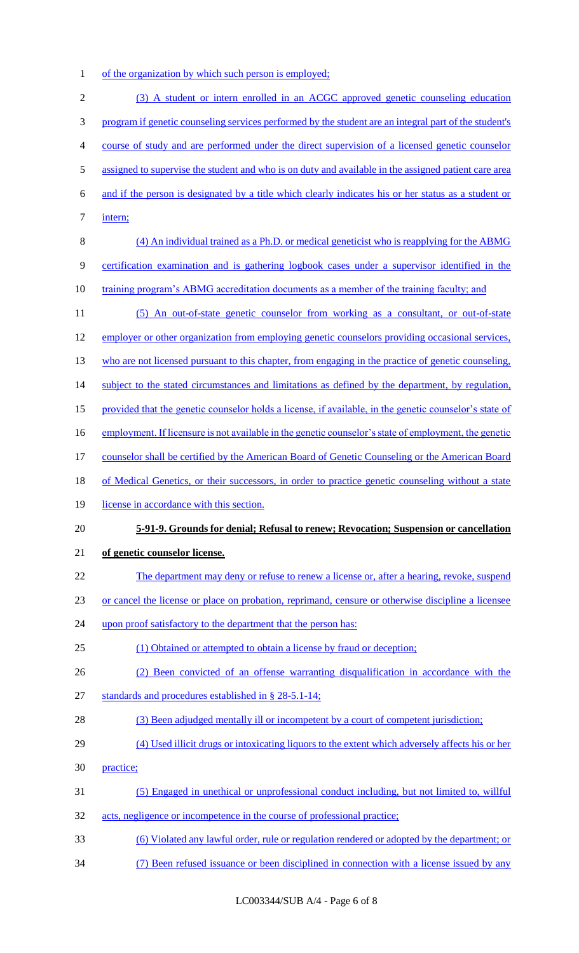1 of the organization by which such person is employed;

| $\sqrt{2}$ | (3) A student or intern enrolled in an ACGC approved genetic counseling education                      |
|------------|--------------------------------------------------------------------------------------------------------|
| 3          | program if genetic counseling services performed by the student are an integral part of the student's  |
| 4          | course of study and are performed under the direct supervision of a licensed genetic counselor         |
| 5          | assigned to supervise the student and who is on duty and available in the assigned patient care area   |
| 6          | and if the person is designated by a title which clearly indicates his or her status as a student or   |
| $\tau$     | intern;                                                                                                |
| $\, 8$     | (4) An individual trained as a Ph.D. or medical geneticist who is reapplying for the ABMG              |
| 9          | certification examination and is gathering logbook cases under a supervisor identified in the          |
| 10         | <u>training program's ABMG accreditation documents as a member of the training faculty; and</u>        |
| 11         | (5) An out-of-state genetic counselor from working as a consultant, or out-of-state                    |
| 12         | employer or other organization from employing genetic counselors providing occasional services,        |
| 13         | who are not licensed pursuant to this chapter, from engaging in the practice of genetic counseling,    |
| 14         | subject to the stated circumstances and limitations as defined by the department, by regulation,       |
| 15         | provided that the genetic counselor holds a license, if available, in the genetic counselor's state of |
| 16         | employment. If licensure is not available in the genetic counselor's state of employment, the genetic  |
| 17         | counselor shall be certified by the American Board of Genetic Counseling or the American Board         |
| 18         | of Medical Genetics, or their successors, in order to practice genetic counseling without a state      |
| 19         | license in accordance with this section.                                                               |
| 20         | 5-91-9. Grounds for denial; Refusal to renew; Revocation; Suspension or cancellation                   |
| 21         | of genetic counselor license.                                                                          |
| 22         | The department may deny or refuse to renew a license or, after a hearing, revoke, suspend              |
| 23         | or cancel the license or place on probation, reprimand, censure or otherwise discipline a licensee     |
| 24         | upon proof satisfactory to the department that the person has:                                         |
| 25         | (1) Obtained or attempted to obtain a license by fraud or deception;                                   |
| 26         | (2) Been convicted of an offense warranting disqualification in accordance with the                    |
| 27         | standards and procedures established in § 28-5.1-14;                                                   |
| 28         | (3) Been adjudged mentally ill or incompetent by a court of competent jurisdiction;                    |
| 29         | (4) Used illicit drugs or intoxicating liquors to the extent which adversely affects his or her        |
| 30         | practice;                                                                                              |
| 31         |                                                                                                        |
|            | (5) Engaged in unethical or unprofessional conduct including, but not limited to, willful              |
| 32         | acts, negligence or incompetence in the course of professional practice;                               |
| 33         | (6) Violated any lawful order, rule or regulation rendered or adopted by the department; or            |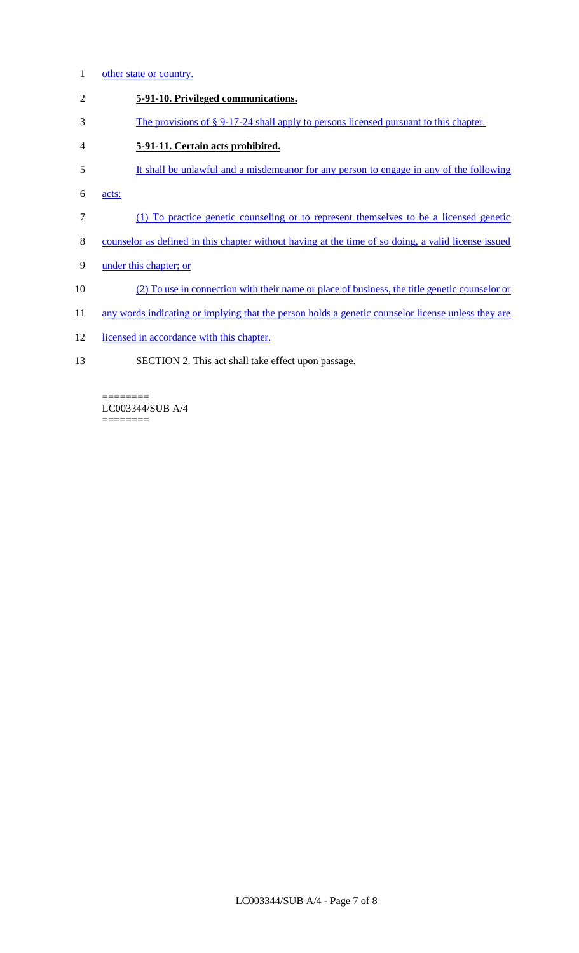- 1 other state or country.
- 2 **5-91-10. Privileged communications.**
- 3 The provisions of § 9-17-24 shall apply to persons licensed pursuant to this chapter.
- 4 **5-91-11. Certain acts prohibited.**
- 5 It shall be unlawful and a misdemeanor for any person to engage in any of the following
- 6 acts:
- 7 (1) To practice genetic counseling or to represent themselves to be a licensed genetic
- 8 counselor as defined in this chapter without having at the time of so doing, a valid license issued
- 9 under this chapter; or
- 10 (2) To use in connection with their name or place of business, the title genetic counselor or
- 11 any words indicating or implying that the person holds a genetic counselor license unless they are
- 12 licensed in accordance with this chapter.
- 13 SECTION 2. This act shall take effect upon passage.

======== LC003344/SUB A/4  $=$